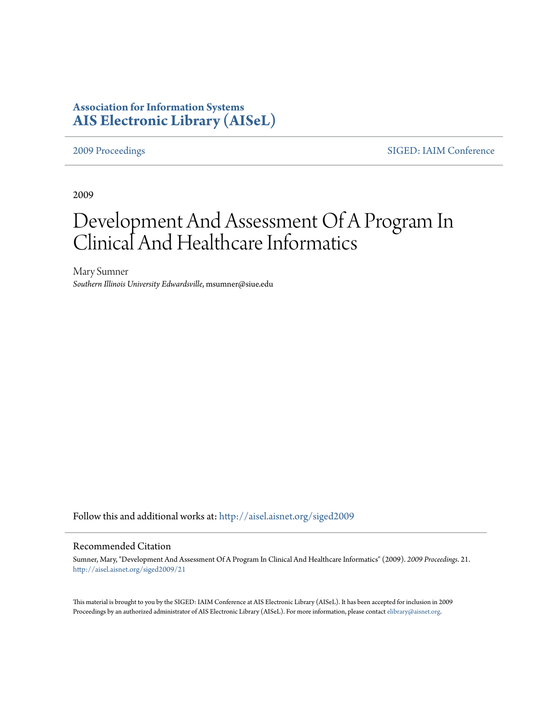# **Association for Information Systems [AIS Electronic Library \(AISeL\)](http://aisel.aisnet.org?utm_source=aisel.aisnet.org%2Fsiged2009%2F21&utm_medium=PDF&utm_campaign=PDFCoverPages)**

[2009 Proceedings](http://aisel.aisnet.org/siged2009?utm_source=aisel.aisnet.org%2Fsiged2009%2F21&utm_medium=PDF&utm_campaign=PDFCoverPages) [SIGED: IAIM Conference](http://aisel.aisnet.org/siged?utm_source=aisel.aisnet.org%2Fsiged2009%2F21&utm_medium=PDF&utm_campaign=PDFCoverPages)

2009

# Development And Assessment Of A Program In Clinical And Healthcare Informatics

Mary Sumner *Southern Illinois University Edwardsville*, msumner@siue.edu

Follow this and additional works at: [http://aisel.aisnet.org/siged2009](http://aisel.aisnet.org/siged2009?utm_source=aisel.aisnet.org%2Fsiged2009%2F21&utm_medium=PDF&utm_campaign=PDFCoverPages)

#### Recommended Citation

Sumner, Mary, "Development And Assessment Of A Program In Clinical And Healthcare Informatics" (2009). *2009 Proceedings*. 21. [http://aisel.aisnet.org/siged2009/21](http://aisel.aisnet.org/siged2009/21?utm_source=aisel.aisnet.org%2Fsiged2009%2F21&utm_medium=PDF&utm_campaign=PDFCoverPages)

This material is brought to you by the SIGED: IAIM Conference at AIS Electronic Library (AISeL). It has been accepted for inclusion in 2009 Proceedings by an authorized administrator of AIS Electronic Library (AISeL). For more information, please contact [elibrary@aisnet.org](mailto:elibrary@aisnet.org%3E).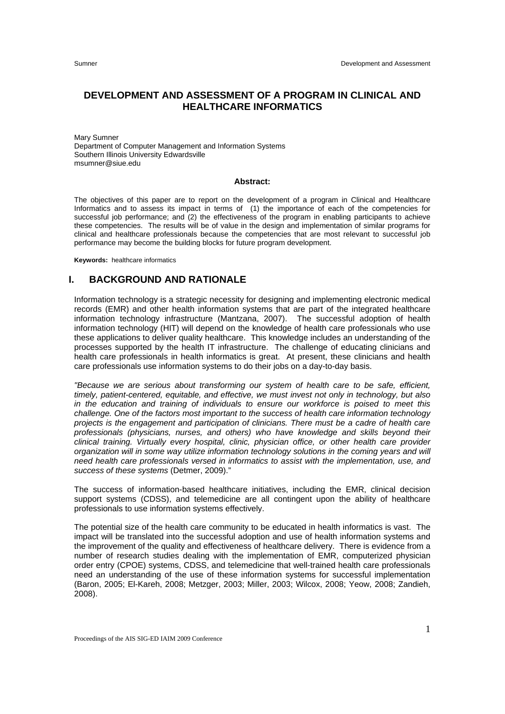#### **DEVELOPMENT AND ASSESSMENT OF A PROGRAM IN CLINICAL AND HEALTHCARE INFORMATICS**

Mary Sumner Department of Computer Management and Information Systems Southern Illinois University Edwardsville msumner@siue.edu

#### **Abstract:**

The objectives of this paper are to report on the development of a program in Clinical and Healthcare Informatics and to assess its impact in terms of (1) the importance of each of the competencies for successful job performance; and (2) the effectiveness of the program in enabling participants to achieve these competencies. The results will be of value in the design and implementation of similar programs for clinical and healthcare professionals because the competencies that are most relevant to successful job performance may become the building blocks for future program development.

**Keywords:** healthcare informatics

## **I. BACKGROUND AND RATIONALE**

Information technology is a strategic necessity for designing and implementing electronic medical records (EMR) and other health information systems that are part of the integrated healthcare information technology infrastructure (Mantzana, 2007). The successful adoption of health information technology (HIT) will depend on the knowledge of health care professionals who use these applications to deliver quality healthcare. This knowledge includes an understanding of the processes supported by the health IT infrastructure. The challenge of educating clinicians and health care professionals in health informatics is great. At present, these clinicians and health care professionals use information systems to do their jobs on a day-to-day basis.

*"Because we are serious about transforming our system of health care to be safe, efficient, timely, patient-centered, equitable, and effective, we must invest not only in technology, but also in the education and training of individuals to ensure our workforce is poised to meet this challenge. One of the factors most important to the success of health care information technology projects is the engagement and participation of clinicians. There must be a cadre of health care professionals (physicians, nurses, and others) who have knowledge and skills beyond their clinical training. Virtually every hospital, clinic, physician office, or other health care provider organization will in some way utilize information technology solutions in the coming years and will need health care professionals versed in informatics to assist with the implementation, use, and success of these systems* (Detmer, 2009)."

The success of information-based healthcare initiatives, including the EMR, clinical decision support systems (CDSS), and telemedicine are all contingent upon the ability of healthcare professionals to use information systems effectively.

The potential size of the health care community to be educated in health informatics is vast. The impact will be translated into the successful adoption and use of health information systems and the improvement of the quality and effectiveness of healthcare delivery. There is evidence from a number of research studies dealing with the implementation of EMR, computerized physician order entry (CPOE) systems, CDSS, and telemedicine that well-trained health care professionals need an understanding of the use of these information systems for successful implementation (Baron, 2005; El-Kareh, 2008; Metzger, 2003; Miller, 2003; Wilcox, 2008; Yeow, 2008; Zandieh, 2008).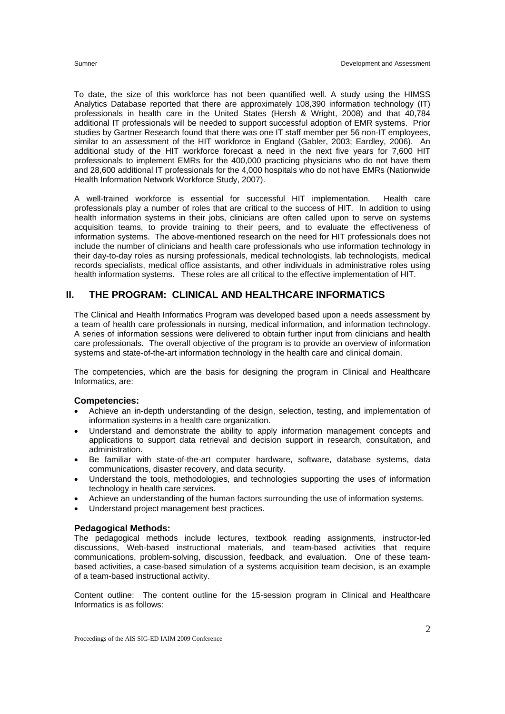To date, the size of this workforce has not been quantified well. A study using the HIMSS Analytics Database reported that there are approximately 108,390 information technology (IT) professionals in health care in the United States (Hersh & Wright, 2008) and that 40,784 additional IT professionals will be needed to support successful adoption of EMR systems. Prior studies by Gartner Research found that there was one IT staff member per 56 non-IT employees, similar to an assessment of the HIT workforce in England (Gabler, 2003; Eardley, 2006). An additional study of the HIT workforce forecast a need in the next five years for 7,600 HIT professionals to implement EMRs for the 400,000 practicing physicians who do not have them and 28,600 additional IT professionals for the 4,000 hospitals who do not have EMRs (Nationwide Health Information Network Workforce Study, 2007).

A well-trained workforce is essential for successful HIT implementation. Health care professionals play a number of roles that are critical to the success of HIT. In addition to using health information systems in their jobs, clinicians are often called upon to serve on systems acquisition teams, to provide training to their peers, and to evaluate the effectiveness of information systems. The above-mentioned research on the need for HIT professionals does not include the number of clinicians and health care professionals who use information technology in their day-to-day roles as nursing professionals, medical technologists, lab technologists, medical records specialists, medical office assistants, and other individuals in administrative roles using health information systems. These roles are all critical to the effective implementation of HIT.

## **II. THE PROGRAM: CLINICAL AND HEALTHCARE INFORMATICS**

The Clinical and Health Informatics Program was developed based upon a needs assessment by a team of health care professionals in nursing, medical information, and information technology. A series of information sessions were delivered to obtain further input from clinicians and health care professionals. The overall objective of the program is to provide an overview of information systems and state-of-the-art information technology in the health care and clinical domain.

The competencies, which are the basis for designing the program in Clinical and Healthcare Informatics, are:

#### **Competencies:**

- Achieve an in-depth understanding of the design, selection, testing, and implementation of information systems in a health care organization.
- Understand and demonstrate the ability to apply information management concepts and applications to support data retrieval and decision support in research, consultation, and administration.
- Be familiar with state-of-the-art computer hardware, software, database systems, data communications, disaster recovery, and data security.
- Understand the tools, methodologies, and technologies supporting the uses of information technology in health care services.
- Achieve an understanding of the human factors surrounding the use of information systems.
- Understand project management best practices.

#### **Pedagogical Methods:**

The pedagogical methods include lectures, textbook reading assignments, instructor-led discussions, Web-based instructional materials, and team-based activities that require communications, problem-solving, discussion, feedback, and evaluation. One of these teambased activities, a case-based simulation of a systems acquisition team decision, is an example of a team-based instructional activity.

Content outline: The content outline for the 15-session program in Clinical and Healthcare Informatics is as follows: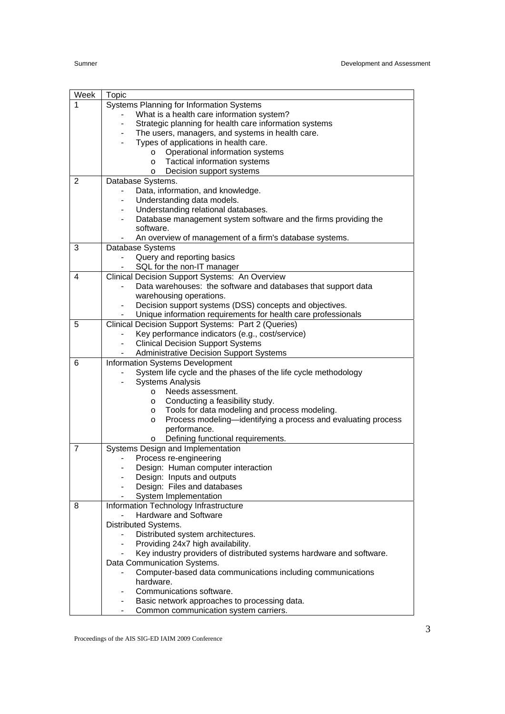| Week           | Topic                                                                                       |
|----------------|---------------------------------------------------------------------------------------------|
| 1              | Systems Planning for Information Systems                                                    |
|                | What is a health care information system?                                                   |
|                | Strategic planning for health care information systems                                      |
|                | The users, managers, and systems in health care.                                            |
|                | Types of applications in health care.                                                       |
|                | Operational information systems<br>$\circ$                                                  |
|                | Tactical information systems<br>$\circ$                                                     |
|                | Decision support systems<br>$\circ$                                                         |
| $\overline{2}$ | Database Systems.                                                                           |
|                | Data, information, and knowledge.                                                           |
|                | Understanding data models.                                                                  |
|                | Understanding relational databases.                                                         |
|                | Database management system software and the firms providing the<br>$\overline{\phantom{a}}$ |
|                | software.                                                                                   |
|                | An overview of management of a firm's database systems.                                     |
| 3              | Database Systems                                                                            |
|                | Query and reporting basics                                                                  |
|                | SQL for the non-IT manager                                                                  |
| 4              | Clinical Decision Support Systems: An Overview                                              |
|                | Data warehouses: the software and databases that support data                               |
|                | warehousing operations.                                                                     |
|                | Decision support systems (DSS) concepts and objectives.                                     |
|                | Unique information requirements for health care professionals                               |
| 5              | Clinical Decision Support Systems: Part 2 (Queries)                                         |
|                | Key performance indicators (e.g., cost/service)                                             |
|                | <b>Clinical Decision Support Systems</b>                                                    |
|                | <b>Administrative Decision Support Systems</b>                                              |
| 6              | Information Systems Development                                                             |
|                | System life cycle and the phases of the life cycle methodology                              |
|                | <b>Systems Analysis</b>                                                                     |
|                | Needs assessment.<br>$\circ$                                                                |
|                | Conducting a feasibility study.<br>O<br>Tools for data modeling and process modeling.       |
|                | O<br>Process modeling—identifying a process and evaluating process<br>O                     |
|                | performance.                                                                                |
|                | Defining functional requirements.<br>O                                                      |
| 7              | Systems Design and Implementation                                                           |
|                | Process re-engineering                                                                      |
|                | Design: Human computer interaction                                                          |
|                | Design: Inputs and outputs<br>-                                                             |
|                | Design: Files and databases                                                                 |
|                | System Implementation                                                                       |
| 8              | Information Technology Infrastructure                                                       |
|                | Hardware and Software                                                                       |
|                | Distributed Systems.                                                                        |
|                | Distributed system architectures.                                                           |
|                | Providing 24x7 high availability.                                                           |
|                | Key industry providers of distributed systems hardware and software.                        |
|                | Data Communication Systems.                                                                 |
|                | Computer-based data communications including communications                                 |
|                | hardware.                                                                                   |
|                | Communications software.                                                                    |
|                | Basic network approaches to processing data.                                                |
|                | Common communication system carriers.                                                       |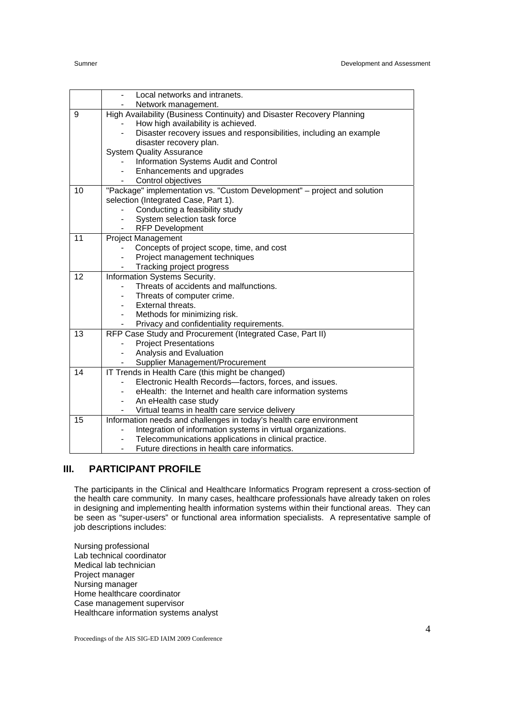|    | Local networks and intranets.                                            |
|----|--------------------------------------------------------------------------|
|    | Network management.                                                      |
| 9  | High Availability (Business Continuity) and Disaster Recovery Planning   |
|    | How high availability is achieved.                                       |
|    | Disaster recovery issues and responsibilities, including an example      |
|    | disaster recovery plan.                                                  |
|    | <b>System Quality Assurance</b>                                          |
|    | Information Systems Audit and Control                                    |
|    | Enhancements and upgrades                                                |
|    | Control objectives                                                       |
| 10 | "Package" implementation vs. "Custom Development" - project and solution |
|    | selection (Integrated Case, Part 1).                                     |
|    | Conducting a feasibility study                                           |
|    | System selection task force                                              |
|    | <b>RFP Development</b>                                                   |
| 11 | <b>Project Management</b>                                                |
|    | Concepts of project scope, time, and cost                                |
|    | Project management techniques                                            |
|    | Tracking project progress                                                |
| 12 | Information Systems Security.                                            |
|    | Threats of accidents and malfunctions.                                   |
|    | Threats of computer crime.                                               |
|    | External threats.<br>$\overline{\phantom{0}}$                            |
|    | Methods for minimizing risk.                                             |
|    | Privacy and confidentiality requirements.                                |
| 13 | RFP Case Study and Procurement (Integrated Case, Part II)                |
|    | <b>Project Presentations</b>                                             |
|    | Analysis and Evaluation                                                  |
|    | Supplier Management/Procurement                                          |
| 14 | IT Trends in Health Care (this might be changed)                         |
|    | Electronic Health Records-factors, forces, and issues.                   |
|    | eHealth: the Internet and health care information systems                |
|    | An eHealth case study                                                    |
|    | Virtual teams in health care service delivery                            |
| 15 | Information needs and challenges in today's health care environment      |
|    | Integration of information systems in virtual organizations.             |
|    | Telecommunications applications in clinical practice.                    |
|    | Future directions in health care informatics.                            |

## **III. PARTICIPANT PROFILE**

The participants in the Clinical and Healthcare Informatics Program represent a cross-section of the health care community. In many cases, healthcare professionals have already taken on roles in designing and implementing health information systems within their functional areas. They can be seen as "super-users" or functional area information specialists. A representative sample of job descriptions includes:

Nursing professional Lab technical coordinator Medical lab technician Project manager Nursing manager Home healthcare coordinator Case management supervisor Healthcare information systems analyst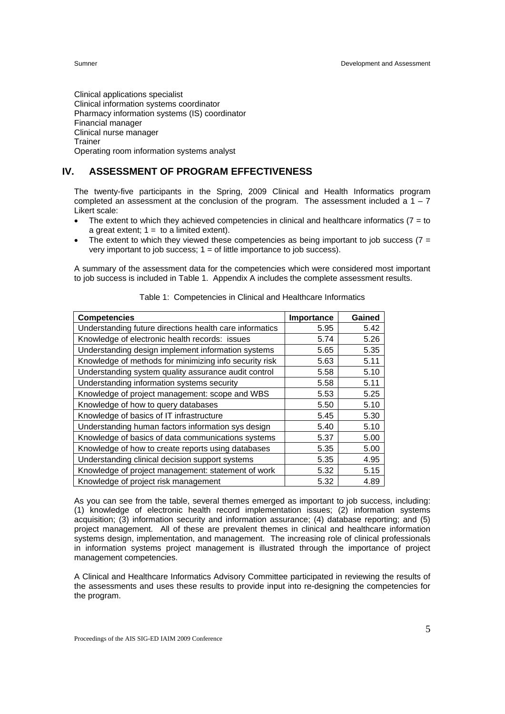Clinical applications specialist Clinical information systems coordinator Pharmacy information systems (IS) coordinator Financial manager Clinical nurse manager Trainer Operating room information systems analyst

# **IV. ASSESSMENT OF PROGRAM EFFECTIVENESS**

The twenty-five participants in the Spring, 2009 Clinical and Health Informatics program completed an assessment at the conclusion of the program. The assessment included a  $1 - 7$ Likert scale:

- The extent to which they achieved competencies in clinical and healthcare informatics ( $7 =$  to a great extent;  $1 =$  to a limited extent).
- The extent to which they viewed these competencies as being important to job success ( $7 =$ very important to job success;  $1 =$  of little importance to job success).

A summary of the assessment data for the competencies which were considered most important to job success is included in Table 1. Appendix A includes the complete assessment results.

| <b>Competencies</b>                                     | Importance | Gained |
|---------------------------------------------------------|------------|--------|
| Understanding future directions health care informatics | 5.95       | 5.42   |
| Knowledge of electronic health records: issues          | 5.74       | 5.26   |
| Understanding design implement information systems      | 5.65       | 5.35   |
| Knowledge of methods for minimizing info security risk  | 5.63       | 5.11   |
| Understanding system quality assurance audit control    | 5.58       | 5.10   |
| Understanding information systems security              | 5.58       | 5.11   |
| Knowledge of project management: scope and WBS          | 5.53       | 5.25   |
| Knowledge of how to query databases                     | 5.50       | 5.10   |
| Knowledge of basics of IT infrastructure                | 5.45       | 5.30   |
| Understanding human factors information sys design      | 5.40       | 5.10   |
| Knowledge of basics of data communications systems      | 5.37       | 5.00   |
| Knowledge of how to create reports using databases      | 5.35       | 5.00   |
| Understanding clinical decision support systems         | 5.35       | 4.95   |
| Knowledge of project management: statement of work      | 5.32       | 5.15   |
| Knowledge of project risk management                    | 5.32       | 4.89   |

Table 1: Competencies in Clinical and Healthcare Informatics

As you can see from the table, several themes emerged as important to job success, including: (1) knowledge of electronic health record implementation issues; (2) information systems acquisition; (3) information security and information assurance; (4) database reporting; and (5) project management. All of these are prevalent themes in clinical and healthcare information systems design, implementation, and management. The increasing role of clinical professionals in information systems project management is illustrated through the importance of project management competencies.

A Clinical and Healthcare Informatics Advisory Committee participated in reviewing the results of the assessments and uses these results to provide input into re-designing the competencies for the program.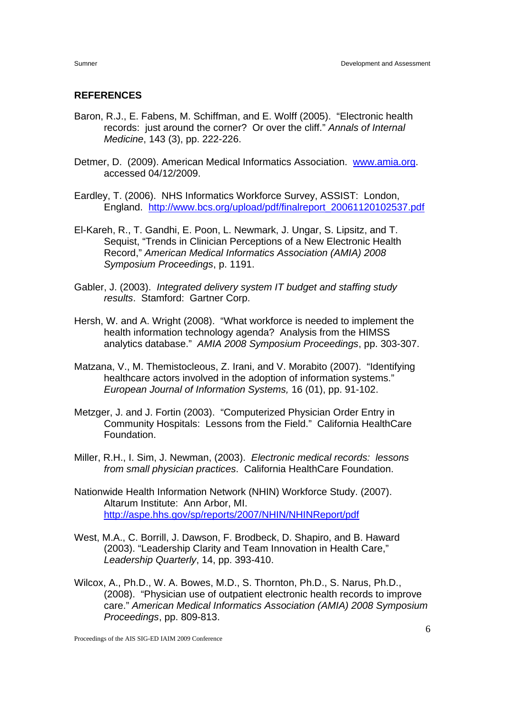#### **REFERENCES**

- Baron, R.J., E. Fabens, M. Schiffman, and E. Wolff (2005). "Electronic health records: just around the corner? Or over the cliff." *Annals of Internal Medicine*, 143 (3), pp. 222-226.
- Detmer, D. (2009). American Medical Informatics Association. www.amia.org. accessed 04/12/2009.
- Eardley, T. (2006). NHS Informatics Workforce Survey, ASSIST: London, England. http://www.bcs.org/upload/pdf/finalreport\_20061120102537.pdf
- El-Kareh, R., T. Gandhi, E. Poon, L. Newmark, J. Ungar, S. Lipsitz, and T. Sequist, "Trends in Clinician Perceptions of a New Electronic Health Record," *American Medical Informatics Association (AMIA) 2008 Symposium Proceedings*, p. 1191.
- Gabler, J. (2003). *Integrated delivery system IT budget and staffing study results*. Stamford: Gartner Corp.
- Hersh, W. and A. Wright (2008). "What workforce is needed to implement the health information technology agenda? Analysis from the HIMSS analytics database." *AMIA 2008 Symposium Proceedings*, pp. 303-307.
- Matzana, V., M. Themistocleous, Z. Irani, and V. Morabito (2007). "Identifying healthcare actors involved in the adoption of information systems." *European Journal of Information Systems,* 16 (01), pp. 91-102.
- Metzger, J. and J. Fortin (2003). "Computerized Physician Order Entry in Community Hospitals: Lessons from the Field." California HealthCare Foundation.
- Miller, R.H., I. Sim, J. Newman, (2003). *Electronic medical records: lessons from small physician practices*. California HealthCare Foundation.
- Nationwide Health Information Network (NHIN) Workforce Study. (2007). Altarum Institute: Ann Arbor, MI. http://aspe.hhs.gov/sp/reports/2007/NHIN/NHINReport/pdf
- West, M.A., C. Borrill, J. Dawson, F. Brodbeck, D. Shapiro, and B. Haward (2003). "Leadership Clarity and Team Innovation in Health Care," *Leadership Quarterly*, 14, pp. 393-410.
- Wilcox, A., Ph.D., W. A. Bowes, M.D., S. Thornton, Ph.D., S. Narus, Ph.D., (2008). "Physician use of outpatient electronic health records to improve care." *American Medical Informatics Association (AMIA) 2008 Symposium Proceedings*, pp. 809-813.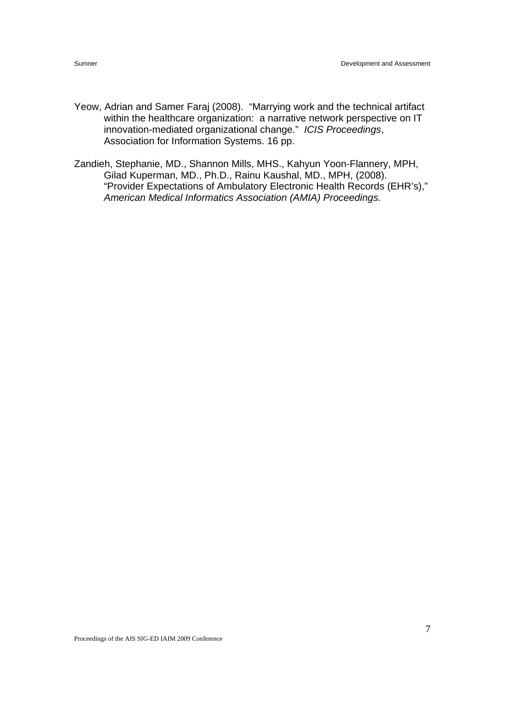- Yeow, Adrian and Samer Faraj (2008). "Marrying work and the technical artifact within the healthcare organization: a narrative network perspective on IT innovation-mediated organizational change." *ICIS Proceedings*, Association for Information Systems. 16 pp.
- Zandieh, Stephanie, MD., Shannon Mills, MHS., Kahyun Yoon-Flannery, MPH, Gilad Kuperman, MD., Ph.D., Rainu Kaushal, MD., MPH, (2008). "Provider Expectations of Ambulatory Electronic Health Records (EHR's)," *American Medical Informatics Association (AMIA) Proceedings.*

Proceedings of the AIS SIG-ED IAIM 2009 Conference